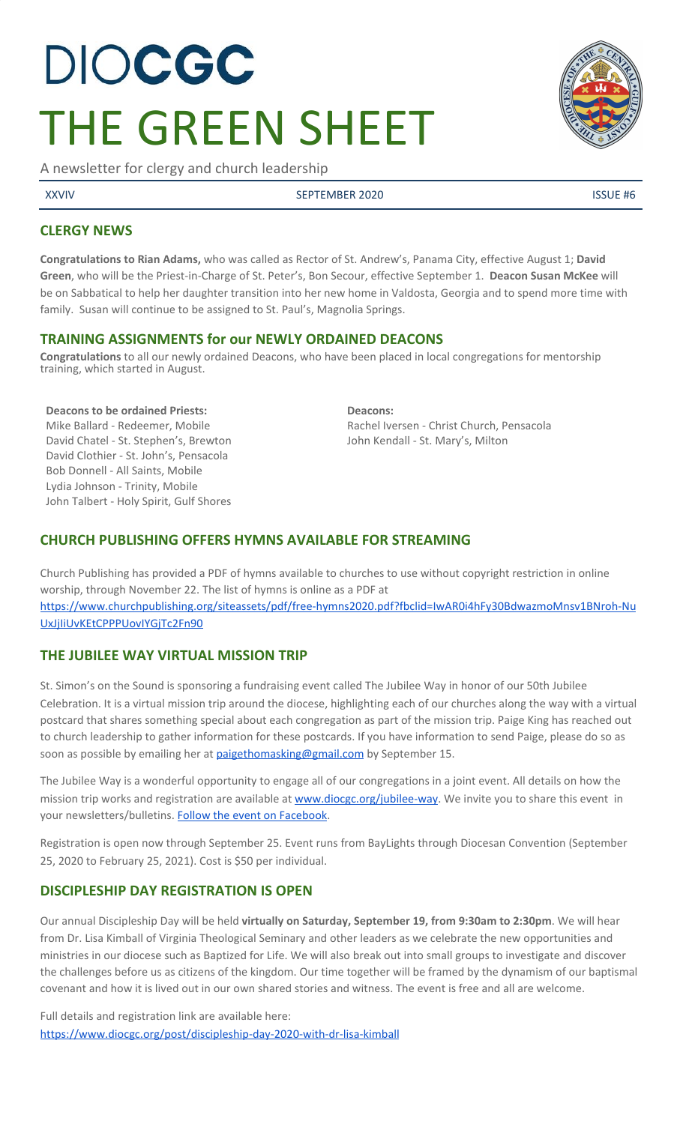# **DIOCGC** THE GREEN SHEET

A newsletter for clergy and church leadership

XXVIV SEPTEMBER 2020 ISSUE #6

## **CLERGY NEWS**

**Congratulations to Rian Adams,** who was called as Rector of St. Andrew's, Panama City, effective August 1; **David Green**, who will be the Priest-in-Charge of St. Peter's, Bon Secour, effective September 1. **Deacon Susan McKee** will be on Sabbatical to help her daughter transition into her new home in Valdosta, Georgia and to spend more time with family. Susan will continue to be assigned to St. Paul's, Magnolia Springs.

#### **TRAINING ASSIGNMENTS for our NEWLY ORDAINED DEACONS**

**Congratulations** to all our newly ordained Deacons, who have been placed in local congregations for mentorship training, which started in August.

#### **Deacons to be ordained Priests:**

Mike Ballard - Redeemer, Mobile David Chatel - St. Stephen's, Brewton David Clothier - St. John's, Pensacola Bob Donnell - All Saints, Mobile Lydia Johnson - Trinity, Mobile John Talbert - Holy Spirit, Gulf Shores

**Deacons:** Rachel Iversen - Christ Church, Pensacola John Kendall - St. Mary's, Milton

## **CHURCH PUBLISHING OFFERS HYMNS AVAILABLE FOR STREAMING**

Church Publishing has provided a PDF of hymns available to churches to use without copyright restriction in online worship, through November 22. The list of hymns is online as a PDF at [https://www.churchpublishing.org/siteassets/pdf/free-hymns2020.pdf?fbclid=IwAR0i4hFy30BdwazmoMnsv1BNroh-Nu](https://www.churchpublishing.org/siteassets/pdf/free-hymns2020.pdf?fbclid=IwAR0i4hFy30BdwazmoMnsv1BNroh-NuUxJjIiUvKEtCPPPUovIYGjTc2Fn90) [UxJjIiUvKEtCPPPUovIYGjTc2Fn90](https://www.churchpublishing.org/siteassets/pdf/free-hymns2020.pdf?fbclid=IwAR0i4hFy30BdwazmoMnsv1BNroh-NuUxJjIiUvKEtCPPPUovIYGjTc2Fn90)

## **THE JUBILEE WAY VIRTUAL MISSION TRIP**

St. Simon's on the Sound is sponsoring a fundraising event called The Jubilee Way in honor of our 50th Jubilee Celebration. It is a virtual mission trip around the diocese, highlighting each of our churches along the way with a virtual postcard that shares something special about each congregation as part of the mission trip. Paige King has reached out to church leadership to gather information for these postcards. If you have information to send Paige, please do so as soon as possible by emailing her at [paigethomasking@gmail.com](mailto:paigethomasking@gmail.com) by September 15.

The Jubilee Way is a wonderful opportunity to engage all of our congregations in a joint event. All details on how the mission trip works and registration are available at [www.diocgc.org/jubilee-way](http://www.diocgc.org/jubilee-way). We invite you to share this event in your newsletters/bulletins. [Follow the event on Facebook](https://www.facebook.com/TheJubileeWay).

Registration is open now through September 25. Event runs from BayLights through Diocesan Convention (September 25, 2020 to February 25, 2021). Cost is \$50 per individual.

## **DISCIPLESHIP DAY REGISTRATION IS OPEN**

Our annual Discipleship Day will be held **virtually on Saturday, September 19, from 9:30am to 2:30pm**. We will hear from Dr. Lisa Kimball of Virginia Theological Seminary and other leaders as we celebrate the new opportunities and ministries in our diocese such as Baptized for Life. We will also break out into small groups to investigate and discover the challenges before us as citizens of the kingdom. Our time together will be framed by the dynamism of our baptismal covenant and how it is lived out in our own shared stories and witness. The event is free and all are welcome.

Full details and registration link are available here: <https://www.diocgc.org/post/discipleship-day-2020-with-dr-lisa-kimball>

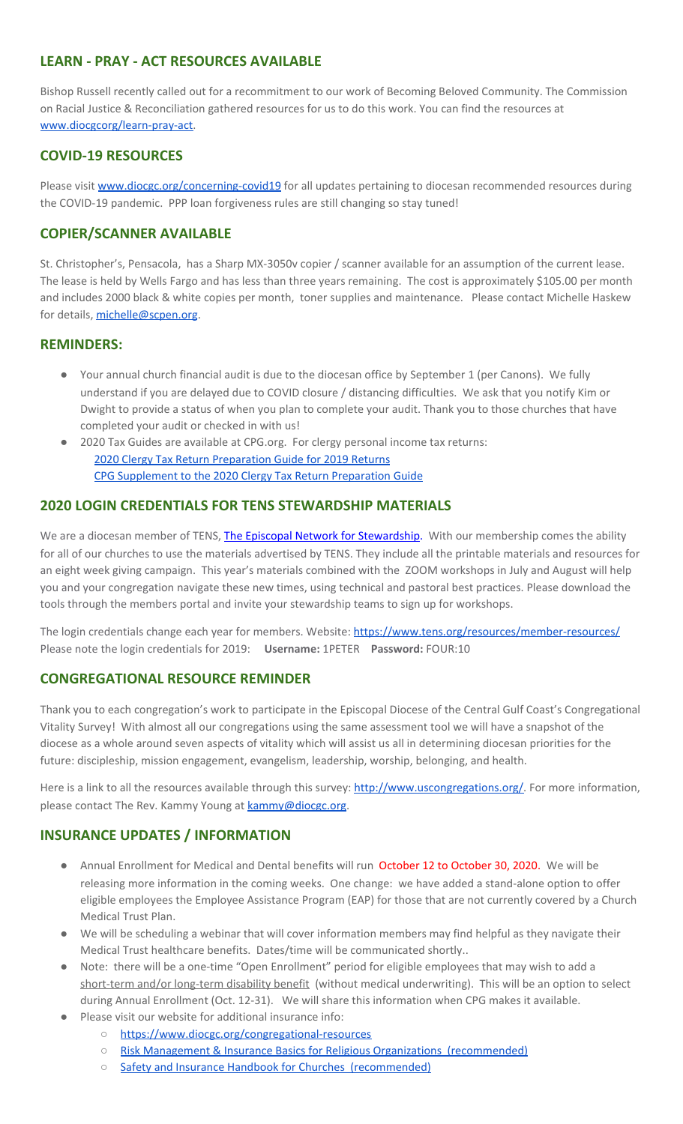## **LEARN - PRAY - ACT RESOURCES AVAILABLE**

Bishop Russell recently called out for a recommitment to our work of Becoming Beloved Community. The Commission on Racial Justice & Reconciliation gathered resources for us to do this work. You can find the resources at [www.diocgcorg/learn-pray-act.](http://www.diocgcorg/learn-pray-act)

## **COVID-19 RESOURCES**

Please visit [www.diocgc.org/concerning-covid19](http://www.diocgc.org/concerning-covid19) for all updates pertaining to diocesan recommended resources during the COVID-19 pandemic. PPP loan forgiveness rules are still changing so stay tuned!

#### **COPIER/SCANNER AVAILABLE**

St. Christopher's, Pensacola, has a Sharp MX-3050v copier / scanner available for an assumption of the current lease. The lease is held by Wells Fargo and has less than three years remaining. The cost is approximately \$105.00 per month and includes 2000 black & white copies per month, toner supplies and maintenance. Please contact Michelle Haskew for details, [michelle@scpen.org](mailto:michelle@scpen.org).

#### **REMINDERS:**

- Your annual church financial audit is due to the diocesan office by September 1 (per Canons). We fully understand if you are delayed due to COVID closure / distancing difficulties. We ask that you notify Kim or Dwight to provide a status of when you plan to complete your audit. Thank you to those churches that have completed your audit or checked in with us!
- 2020 Tax Guides are available at CPG.org. For clergy personal income tax returns: 2020 Clergy Tax Return [Preparation](https://www.cpg.org/linkservid/D998735C-CE21-6189-EB815B133ECD868A/showMeta/0/?label=2020%20Clergy%20Tax%20Return%20Preparation%20Guide%20for%202019%20Tax%20Returns) Guide for 2019 Returns CPG [Supplement](https://www.cpg.org/linkservid/DA0301BC-D8CF-06D3-C4C6BAB106394432/showMeta/0/?label=Supplement%20to%20the%202020%20Clergy%20Tax%20Return%20Preparation%20Guide%20for%202019%20Returns) to the 2020 Clergy Tax Return Preparation Guide

#### **2020 LOGIN CREDENTIALS FOR TENS STEWARDSHIP MATERIALS**

We are a diocesan member of [T](http://r20.rs6.net/tn.jsp?f=0012pqt_t4bfTKnRF8Xmufb-M4Ry8JkNpVzuf-DfMr466n2fJlrEabEgWXavWDn2Hx3i5ph5cMsQu0KkvBM2IIao7IcazXgBLtGdZrXLuo4poO7i2eq_EiuExGDSC-wd1a3AjKcDRDPj18=&c=9_JBIUfw9Y9WIzA02dVBmW_Dc5eF3SbOEA5-vLB-MbLj0nQWfaMvNg==&ch=bNQQUmRhILUjCbu1RkHCQ0rqqsD1-RBYprcIQ3NuhLlaKPcsXS1TyQ==)ENS, The Episcopal Network for [Stewardship](http://r20.rs6.net/tn.jsp?f=0012pqt_t4bfTKnRF8Xmufb-M4Ry8JkNpVzuf-DfMr466n2fJlrEabEgWXavWDn2Hx3i5ph5cMsQu0KkvBM2IIao7IcazXgBLtGdZrXLuo4poO7i2eq_EiuExGDSC-wd1a3AjKcDRDPj18=&c=9_JBIUfw9Y9WIzA02dVBmW_Dc5eF3SbOEA5-vLB-MbLj0nQWfaMvNg==&ch=bNQQUmRhILUjCbu1RkHCQ0rqqsD1-RBYprcIQ3NuhLlaKPcsXS1TyQ==). With our membership comes the ability for all of our churches to use the materials advertised by TENS. They include all the printable materials and resources for an eight week giving campaign. This year's materials combined with the ZOOM workshops in July and August will help you and your congregation navigate these new times, using technical and pastoral best practices. Please download the tools through the members portal and invite your stewardship teams to sign up for workshops.

The login credentials change each year for members. Website: <https://www.tens.org/resources/member-resources/> Please note the login credentials for 2019: **Username:** 1PETER **Password:** FOUR:10

#### **CONGREGATIONAL RESOURCE REMINDER**

Thank you to each congregation's work to participate in the Episcopal Diocese of the Central Gulf Coast's Congregational Vitality Survey! With almost all our congregations using the same assessment tool we will have a snapshot of the diocese as a whole around seven aspects of vitality which will assist us all in determining diocesan priorities for the future: discipleship, mission engagement, evangelism, leadership, worship, belonging, and health.

Here is a link to all the resources available through this survey: [http://www.uscongregations.org/.](http://www.uscongregations.org/) For more information, please contact The Rev. Kammy Young at [kammy@diocgc.org](mailto:kammy@diocgc.org).

#### **INSURANCE UPDATES / INFORMATION**

- Annual Enrollment for Medical and Dental benefits will run October 12 to October 30, 2020. We will be releasing more information in the coming weeks. One change: we have added a stand-alone option to offer eligible employees the Employee Assistance Program (EAP) for those that are not currently covered by a Church Medical Trust Plan.
- We will be scheduling a webinar that will cover information members may find helpful as they navigate their Medical Trust healthcare benefits. Dates/time will be communicated shortly..
- Note: there will be a one-time "Open Enrollment" period for eligible employees that may wish to add a short-term and/or long-term disability benefit (without medical underwriting). This will be an option to select during Annual Enrollment (Oct. 12-31). We will share this information when CPG makes it available.
- Please visit our website for additional insurance info:
	- <https://www.diocgc.org/congregational-resources>
	- Risk Management & Insurance Basics for Religious Organizations [\(recommended\)](https://2f23db9c-81c0-437f-88c1-0d3b99fdb03d.filesusr.com/ugd/ca270f_0fc945a39bad470191c4075c97602c08.pdf)
	- Safety and Insurance Handbook for Churches [\(recommended\)](https://2f23db9c-81c0-437f-88c1-0d3b99fdb03d.filesusr.com/ugd/4525a9_6b89020a60b040f49e2f7feb44b56873.pdf)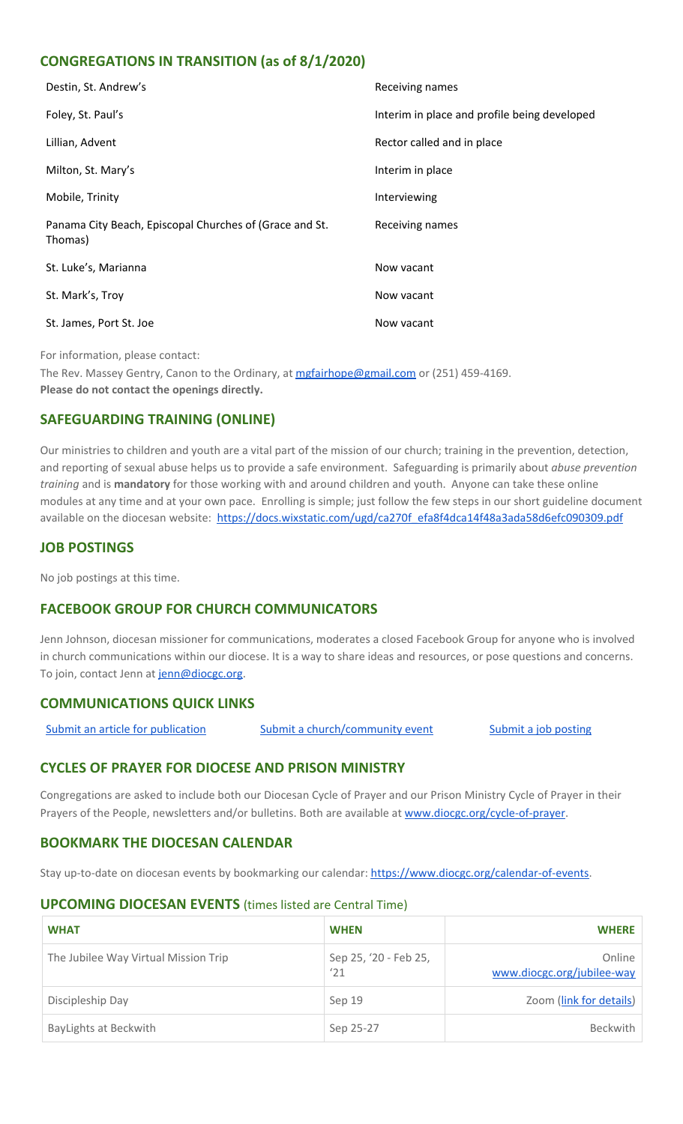## **CONGREGATIONS IN TRANSITION (as of 8/1/2020)**

| Destin, St. Andrew's                                               | Receiving names                              |
|--------------------------------------------------------------------|----------------------------------------------|
| Foley, St. Paul's                                                  | Interim in place and profile being developed |
| Lillian, Advent                                                    | Rector called and in place                   |
| Milton, St. Mary's                                                 | Interim in place                             |
| Mobile, Trinity                                                    | Interviewing                                 |
| Panama City Beach, Episcopal Churches of (Grace and St.<br>Thomas) | Receiving names                              |
| St. Luke's, Marianna                                               | Now vacant                                   |
| St. Mark's, Troy                                                   | Now vacant                                   |
| St. James, Port St. Joe                                            | Now vacant                                   |

For information, please contact:

The Rev. Massey Gentry, Canon to the Ordinary, at [mgfairhope@gmail.com](mailto:mgfairhope@gmail.com) or (251) 459-4169. **Please do not contact the openings directly.**

# **SAFEGUARDING TRAINING (ONLINE)**

Our ministries to children and youth are a vital part of the mission of our church; training in the prevention, detection, and reporting of sexual abuse helps us to provide a safe environment. Safeguarding is primarily about *abuse prevention training* and is **mandatory** for those working with and around children and youth. Anyone can take these online modules at any time and at your own pace. Enrolling is simple; just follow the few steps in our short guideline document available on the diocesan website: [https://docs.wixstatic.com/ugd/ca270f\\_efa8f4dca14f48a3ada58d6efc090309.pdf](https://docs.wixstatic.com/ugd/ca270f_efa8f4dca14f48a3ada58d6efc090309.pdf)

## **JOB POSTINGS**

No job postings at this time.

## **FACEBOOK GROUP FOR CHURCH COMMUNICATORS**

Jenn Johnson, diocesan missioner for communications, moderates a closed Facebook Group for anyone who is involved in church communications within our diocese. It is a way to share ideas and resources, or pose questions and concerns. To join, contact Jenn at [jenn@diocgc.org.](mailto:jenn@diocgc.org)

#### **COMMUNICATIONS QUICK LINKS**

Submit an article for [publication](http://www.emailmeform.com/builder/form/XqOP984Ae60c8m6ynr) Submit a [church/community](http://www.emailmeform.com/builder/form/eOM4Bb6VTb78y20Wrapf8) event Submit a job [posting](https://www.emailmeform.com/builder/form/0cZqC653GdH24p01aWQDfUh)

## **CYCLES OF PRAYER FOR DIOCESE AND PRISON MINISTRY**

Congregations are asked to include both our Diocesan Cycle of Prayer and our Prison Ministry Cycle of Prayer in their Prayers of the People, newsletters and/or bulletins. Both are available at [www.diocgc.org/cycle-of-prayer.](http://www.diocgc.org/cycle-of-prayer)

#### **BOOKMARK THE DIOCESAN CALENDAR**

Stay up-to-date on diocesan events by bookmarking our calendar: [https://www.diocgc.org/calendar-of-events.](https://www.diocgc.org/calendar-of-events)

#### **UPCOMING DIOCESAN EVENTS** (times listed are Central Time)

| <b>WHAT</b>                          | <b>WHEN</b>                  | <b>WHERE</b>                         |
|--------------------------------------|------------------------------|--------------------------------------|
| The Jubilee Way Virtual Mission Trip | Sep 25, '20 - Feb 25,<br>'21 | Online<br>www.diocgc.org/jubilee-way |
| Discipleship Day                     | Sep 19                       | Zoom (link for details)              |
| BayLights at Beckwith                | Sep 25-27                    | <b>Beckwith</b>                      |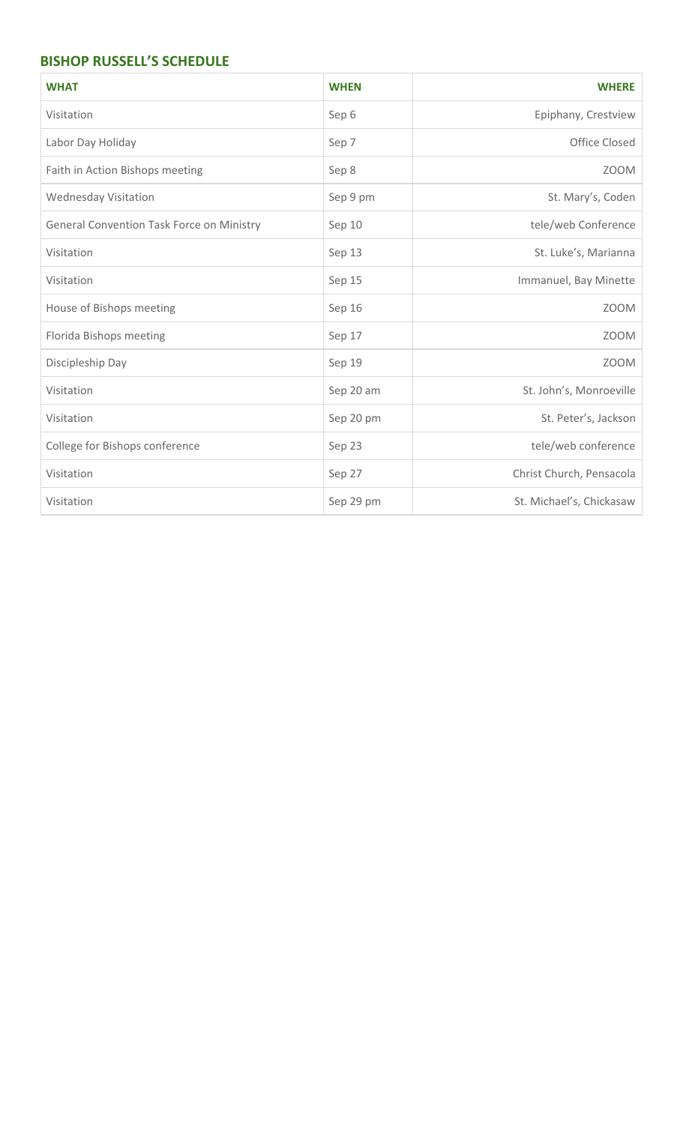## **BISHOP RUSSELL'S SCHEDULE**

| <b>WHAT</b>                                      | <b>WHEN</b> | <b>WHERE</b>             |
|--------------------------------------------------|-------------|--------------------------|
| Visitation                                       | Sep 6       | Epiphany, Crestview      |
| Labor Day Holiday                                | Sep 7       | Office Closed            |
| Faith in Action Bishops meeting                  | Sep 8       | <b>ZOOM</b>              |
| <b>Wednesday Visitation</b>                      | Sep 9 pm    | St. Mary's, Coden        |
| <b>General Convention Task Force on Ministry</b> | Sep 10      | tele/web Conference      |
| Visitation                                       | Sep 13      | St. Luke's, Marianna     |
| Visitation                                       | Sep 15      | Immanuel, Bay Minette    |
| House of Bishops meeting                         | Sep 16      | <b>ZOOM</b>              |
| Florida Bishops meeting                          | Sep 17      | <b>ZOOM</b>              |
| Discipleship Day                                 | Sep 19      | <b>ZOOM</b>              |
| Visitation                                       | Sep 20 am   | St. John's, Monroeville  |
| Visitation                                       | Sep 20 pm   | St. Peter's, Jackson     |
| College for Bishops conference                   | Sep 23      | tele/web conference      |
| Visitation                                       | Sep 27      | Christ Church, Pensacola |
| Visitation                                       | Sep 29 pm   | St. Michael's, Chickasaw |